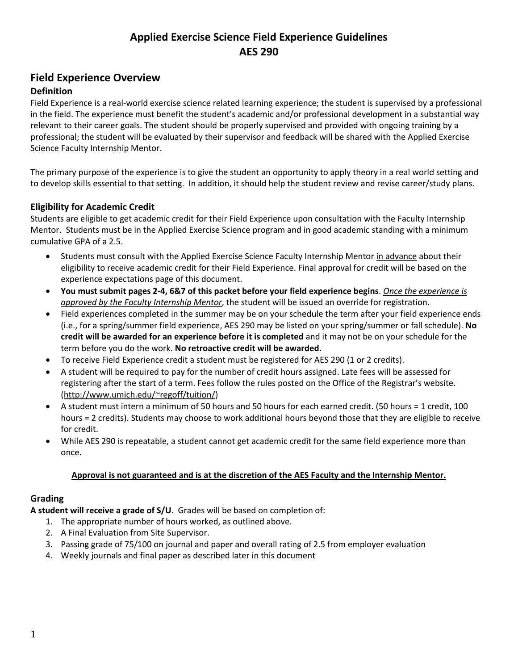### **Field Experience Overview**

#### **Definition**

Field Experience is a real-world exercise science related learning experience; the student is supervised by a professional in the field. The experience must benefit the student's academic and/or professional development in a substantial way relevant to their career goals. The student should be properly supervised and provided with ongoing training by a professional; the student will be evaluated by their supervisor and feedback will be shared with the Applied Exercise Science Faculty Internship Mentor.

The primary purpose of the experience is to give the student an opportunity to apply theory in a real world setting and to develop skills essential to that setting. In addition, it should help the student review and revise career/study plans.

#### **Eligibility for Academic Credit**

Students are eligible to get academic credit for their Field Experience upon consultation with the Faculty Internship Mentor. Students must be in the Applied Exercise Science program and in good academic standing with a minimum cumulative GPA of a 2.5.

- Students must consult with the Applied Exercise Science Faculty Internship Mentor in advance about their eligibility to receive academic credit for their Field Experience. Final approval for credit will be based on the experience expectations page of this document.
- **You must submit pages 2-4, 6&7 of this packet before your field experience begins**. *Once the experience is approved by the Faculty Internship Mentor*, the student will be issued an override for registration.
- Field experiences completed in the summer may be on your schedule the term after your field experience ends (i.e., for a spring/summer field experience, AES 290 may be listed on your spring/summer or fall schedule). **No credit will be awarded for an experience before it is completed** and it may not be on your schedule for the term before you do the work. **No retroactive credit will be awarded.**
- To receive Field Experience credit a student must be registered for AES 290 (1 or 2 credits).
- A student will be required to pay for the number of credit hours assigned. Late fees will be assessed for registering after the start of a term. Fees follow the rules posted on the Office of the Registrar's website. [\(http://www.umich.edu/~regoff/tuition/\)](http://www.umich.edu/~regoff/tuition/)
- A student must intern a minimum of 50 hours and 50 hours for each earned credit. (50 hours = 1 credit, 100 hours = 2 credits). Students may choose to work additional hours beyond those that they are eligible to receive for credit.
- While AES 290 is repeatable, a student cannot get academic credit for the same field experience more than once.

#### **Approval is not guaranteed and is at the discretion of the AES Faculty and the Internship Mentor.**

#### **Grading**

**A student will receive a grade of S/U**. Grades will be based on completion of:

- 1. The appropriate number of hours worked, as outlined above.
- 2. A Final Evaluation from Site Supervisor.
- 3. Passing grade of 75/100 on journal and paper and overall rating of 2.5 from employer evaluation
- 4. Weekly journals and final paper as described later in this document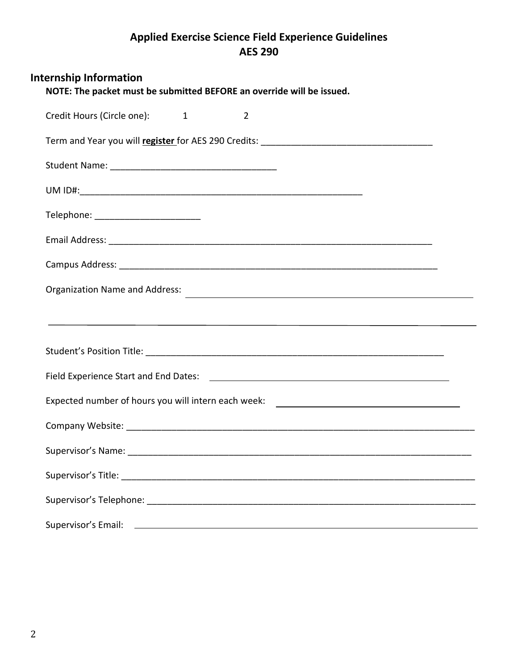| <b>Internship Information</b><br>NOTE: The packet must be submitted BEFORE an override will be issued.                                                                                                                               |
|--------------------------------------------------------------------------------------------------------------------------------------------------------------------------------------------------------------------------------------|
| Credit Hours (Circle one): 1<br>$\overline{2}$                                                                                                                                                                                       |
|                                                                                                                                                                                                                                      |
|                                                                                                                                                                                                                                      |
|                                                                                                                                                                                                                                      |
| Telephone: _________________________                                                                                                                                                                                                 |
|                                                                                                                                                                                                                                      |
|                                                                                                                                                                                                                                      |
| Organization Name and Address:<br>The Contract of Contract of Contract of Contract of Contract of Contract of Contract of Contract of Contract of Contract of Contract of Contract of Contract of Contract of Contract of Contra     |
|                                                                                                                                                                                                                                      |
|                                                                                                                                                                                                                                      |
|                                                                                                                                                                                                                                      |
| Expected number of hours you will intern each week: ____________________________                                                                                                                                                     |
|                                                                                                                                                                                                                                      |
|                                                                                                                                                                                                                                      |
|                                                                                                                                                                                                                                      |
|                                                                                                                                                                                                                                      |
| Supervisor's Email: <u>contract the contract of the contract of the contract of the contract of the contract of the contract of the contract of the contract of the contract of the contract of the contract of the contract of </u> |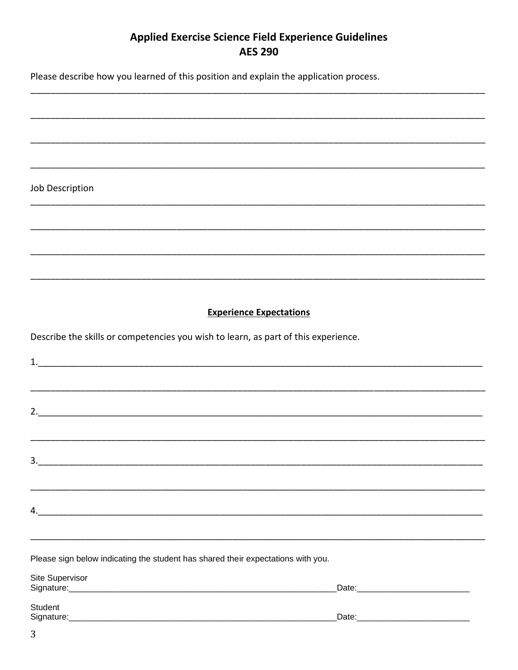Please describe how you learned of this position and explain the application process.

Job Description

#### **Experience Expectations**

Describe the skills or competencies you wish to learn, as part of this experience.

| $\frac{3}{2}$                                                                                                                                                                                                                  |  |
|--------------------------------------------------------------------------------------------------------------------------------------------------------------------------------------------------------------------------------|--|
|                                                                                                                                                                                                                                |  |
|                                                                                                                                                                                                                                |  |
| 4.                                                                                                                                                                                                                             |  |
|                                                                                                                                                                                                                                |  |
|                                                                                                                                                                                                                                |  |
|                                                                                                                                                                                                                                |  |
| Please sign below indicating the student has shared their expectations with you.                                                                                                                                               |  |
| Site Supervisor                                                                                                                                                                                                                |  |
| Signature: Signature: Signature: Signature: Signature: Signature: Signature: Signature: Signature: Signature: Signature: Signature: Signature: Signature: Signature: Signature: Signature: Signature: Signature: Signature: Si |  |
|                                                                                                                                                                                                                                |  |
| Student                                                                                                                                                                                                                        |  |
|                                                                                                                                                                                                                                |  |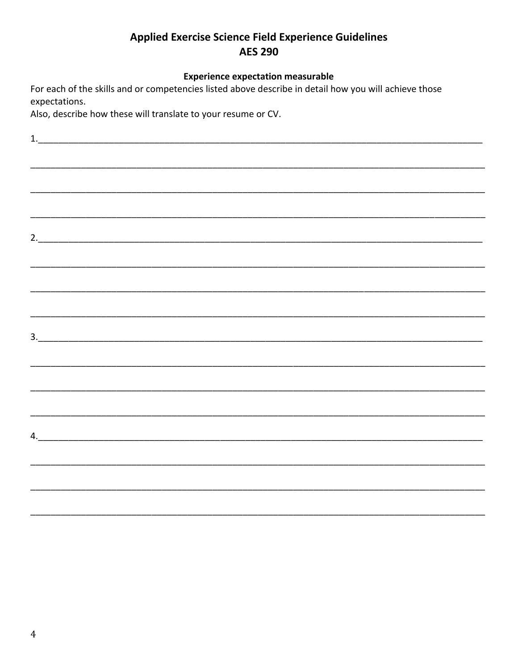#### **Experience expectation measurable**

For each of the skills and or competencies listed above describe in detail how you will achieve those expectations.

Also, describe how these will translate to your resume or CV.

 $2.$ 4.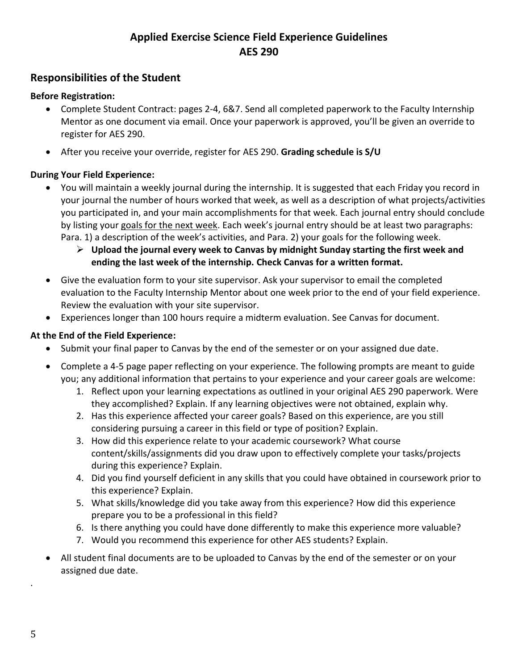#### **Responsibilities of the Student**

#### **Before Registration:**

- Complete Student Contract: pages 2-4, 6&7. Send all completed paperwork to the Faculty Internship Mentor as one document via email. Once your paperwork is approved, you'll be given an override to register for AES 290.
- After you receive your override, register for AES 290. **Grading schedule is S/U**

#### **During Your Field Experience:**

- You will maintain a weekly journal during the internship. It is suggested that each Friday you record in your journal the number of hours worked that week, as well as a description of what projects/activities you participated in, and your main accomplishments for that week. Each journal entry should conclude by listing your goals for the next week. Each week's journal entry should be at least two paragraphs: Para. 1) a description of the week's activities, and Para. 2) your goals for the following week.
	- ➢ **Upload the journal every week to Canvas by midnight Sunday starting the first week and ending the last week of the internship. Check Canvas for a written format.**
- Give the evaluation form to your site supervisor. Ask your supervisor to email the completed evaluation to the Faculty Internship Mentor about one week prior to the end of your field experience. Review the evaluation with your site supervisor.
- Experiences longer than 100 hours require a midterm evaluation. See Canvas for document.

#### **At the End of the Field Experience:**

- Submit your final paper to Canvas by the end of the semester or on your assigned due date.
- Complete a 4-5 page paper reflecting on your experience. The following prompts are meant to guide you; any additional information that pertains to your experience and your career goals are welcome:
	- 1. Reflect upon your learning expectations as outlined in your original AES 290 paperwork. Were they accomplished? Explain. If any learning objectives were not obtained, explain why.
	- 2. Has this experience affected your career goals? Based on this experience, are you still considering pursuing a career in this field or type of position? Explain.
	- 3. How did this experience relate to your academic coursework? What course content/skills/assignments did you draw upon to effectively complete your tasks/projects during this experience? Explain.
	- 4. Did you find yourself deficient in any skills that you could have obtained in coursework prior to this experience? Explain.
	- 5. What skills/knowledge did you take away from this experience? How did this experience prepare you to be a professional in this field?
	- 6. Is there anything you could have done differently to make this experience more valuable?
	- 7. Would you recommend this experience for other AES students? Explain.
- All student final documents are to be uploaded to Canvas by the end of the semester or on your assigned due date.

.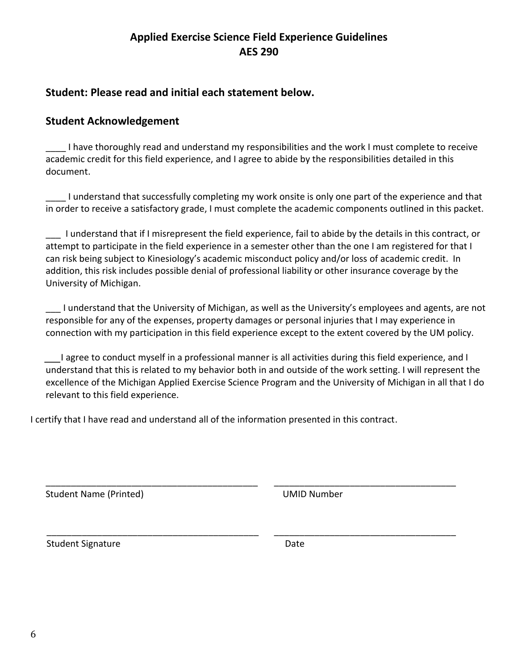### **Student: Please read and initial each statement below.**

#### **Student Acknowledgement**

\_\_\_\_ I have thoroughly read and understand my responsibilities and the work I must complete to receive academic credit for this field experience, and I agree to abide by the responsibilities detailed in this document.

\_\_\_\_ I understand that successfully completing my work onsite is only one part of the experience and that in order to receive a satisfactory grade, I must complete the academic components outlined in this packet.

\_\_\_ I understand that if I misrepresent the field experience, fail to abide by the details in this contract, or attempt to participate in the field experience in a semester other than the one I am registered for that I can risk being subject to Kinesiology's academic misconduct policy and/or loss of academic credit. In addition, this risk includes possible denial of professional liability or other insurance coverage by the University of Michigan.

\_\_\_ I understand that the University of Michigan, as well as the University's employees and agents, are not responsible for any of the expenses, property damages or personal injuries that I may experience in connection with my participation in this field experience except to the extent covered by the UM policy.

I agree to conduct myself in a professional manner is all activities during this field experience, and I understand that this is related to my behavior both in and outside of the work setting. I will represent the excellence of the Michigan Applied Exercise Science Program and the University of Michigan in all that I do relevant to this field experience.

I certify that I have read and understand all of the information presented in this contract.

\_\_\_\_\_\_\_\_\_\_\_\_\_\_\_\_\_\_\_\_\_\_\_\_\_\_\_\_\_\_\_\_\_\_\_\_\_\_\_\_\_\_ \_\_\_\_\_\_\_\_\_\_\_\_\_\_\_\_\_\_\_\_\_\_\_\_\_\_\_\_\_\_\_\_\_\_\_\_

\_\_\_\_\_\_\_\_\_\_\_\_\_\_\_\_\_\_\_\_\_\_\_\_\_\_\_\_\_\_\_\_\_\_\_\_\_\_\_\_\_\_ \_\_\_\_\_\_\_\_\_\_\_\_\_\_\_\_\_\_\_\_\_\_\_\_\_\_\_\_\_\_\_\_\_\_\_\_ Student Name (Printed) and Europe and Tumber UMID Number

Student Signature **Date** Date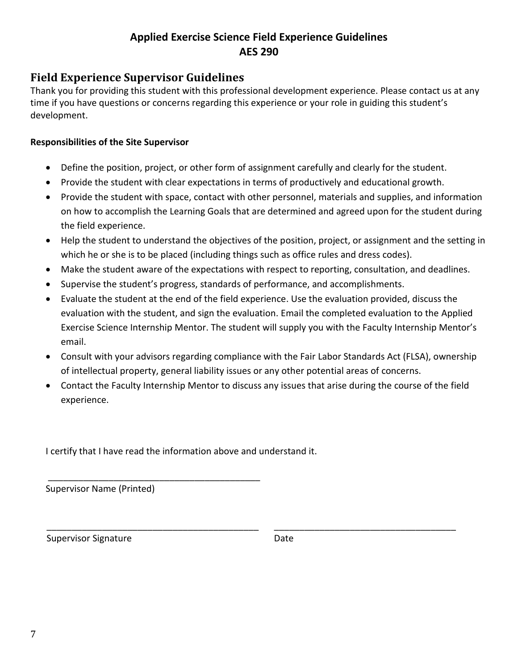### **Field Experience Supervisor Guidelines**

Thank you for providing this student with this professional development experience. Please contact us at any time if you have questions or concerns regarding this experience or your role in guiding this student's development.

#### **Responsibilities of the Site Supervisor**

- Define the position, project, or other form of assignment carefully and clearly for the student.
- Provide the student with clear expectations in terms of productively and educational growth.
- Provide the student with space, contact with other personnel, materials and supplies, and information on how to accomplish the Learning Goals that are determined and agreed upon for the student during the field experience.
- Help the student to understand the objectives of the position, project, or assignment and the setting in which he or she is to be placed (including things such as office rules and dress codes).
- Make the student aware of the expectations with respect to reporting, consultation, and deadlines.
- Supervise the student's progress, standards of performance, and accomplishments.
- Evaluate the student at the end of the field experience. Use the evaluation provided, discuss the evaluation with the student, and sign the evaluation. Email the completed evaluation to the Applied Exercise Science Internship Mentor. The student will supply you with the Faculty Internship Mentor's email.
- Consult with your advisors regarding compliance with the Fair Labor Standards Act (FLSA), ownership of intellectual property, general liability issues or any other potential areas of concerns.
- Contact the Faculty Internship Mentor to discuss any issues that arise during the course of the field experience.

\_\_\_\_\_\_\_\_\_\_\_\_\_\_\_\_\_\_\_\_\_\_\_\_\_\_\_\_\_\_\_\_\_\_\_\_\_\_\_\_\_\_ \_\_\_\_\_\_\_\_\_\_\_\_\_\_\_\_\_\_\_\_\_\_\_\_\_\_\_\_\_\_\_\_\_\_\_\_

I certify that I have read the information above and understand it.

\_\_\_\_\_\_\_\_\_\_\_\_\_\_\_\_\_\_\_\_\_\_\_\_\_\_\_\_\_\_\_\_\_\_\_\_\_\_\_\_\_\_ Supervisor Name (Printed)

Supervisor Signature **Date** Date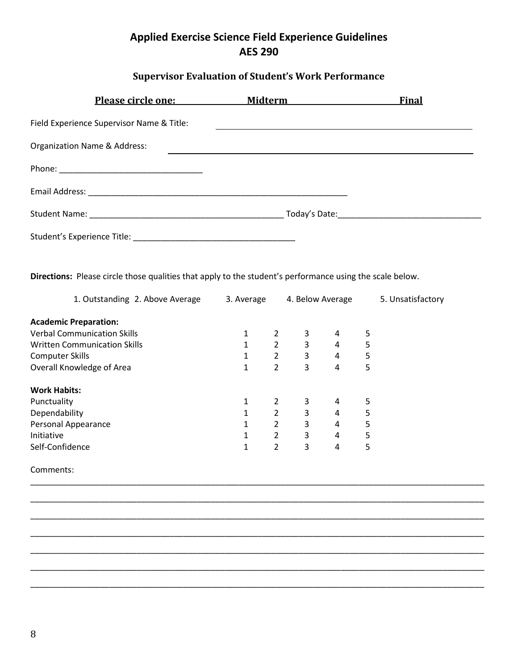# **Supervisor Evaluation of Student's Work Performance**

| Please circle one: Midterm                |  | <b>Final</b> |
|-------------------------------------------|--|--------------|
| Field Experience Supervisor Name & Title: |  |              |
| Organization Name & Address:              |  |              |
|                                           |  |              |
|                                           |  |              |
|                                           |  |              |
|                                           |  |              |

**Directions:** Please circle those qualities that apply to the student's performance using the scale below.

| 1. Outstanding 2. Above Average     | 3. Average |                | 4. Below Average |   |   | 5. Unsatisfactory |
|-------------------------------------|------------|----------------|------------------|---|---|-------------------|
| <b>Academic Preparation:</b>        |            |                |                  |   |   |                   |
| <b>Verbal Communication Skills</b>  | 1          |                | 3                | 4 | 5 |                   |
| <b>Written Communication Skills</b> | 1          | $\overline{2}$ | 3                | 4 | 5 |                   |
| <b>Computer Skills</b>              | 1          | $\overline{2}$ | 3                | 4 | 5 |                   |
| Overall Knowledge of Area           | 1          | 2              | 3                | 4 | 5 |                   |
| <b>Work Habits:</b>                 |            |                |                  |   |   |                   |
| Punctuality                         | 1          |                | 3                | 4 | 5 |                   |
| Dependability                       | 1          | $\overline{2}$ | 3                | 4 | 5 |                   |
| Personal Appearance                 | 1          | 2              | 3                | 4 | 5 |                   |
| Initiative                          | 1          | 2              | 3                | 4 | 5 |                   |
| Self-Confidence                     | 1          | 2              | 3                | 4 | 5 |                   |

\_\_\_\_\_\_\_\_\_\_\_\_\_\_\_\_\_\_\_\_\_\_\_\_\_\_\_\_\_\_\_\_\_\_\_\_\_\_\_\_\_\_\_\_\_\_\_\_\_\_\_\_\_\_\_\_\_\_\_\_\_\_\_\_\_\_\_\_\_\_\_\_\_\_\_\_\_\_\_\_\_\_\_\_\_\_\_\_\_\_\_\_\_\_\_\_\_\_

\_\_\_\_\_\_\_\_\_\_\_\_\_\_\_\_\_\_\_\_\_\_\_\_\_\_\_\_\_\_\_\_\_\_\_\_\_\_\_\_\_\_\_\_\_\_\_\_\_\_\_\_\_\_\_\_\_\_\_\_\_\_\_\_\_\_\_\_\_\_\_\_\_\_\_\_\_\_\_\_\_\_\_\_\_\_\_\_\_\_\_\_\_\_\_\_\_\_

\_\_\_\_\_\_\_\_\_\_\_\_\_\_\_\_\_\_\_\_\_\_\_\_\_\_\_\_\_\_\_\_\_\_\_\_\_\_\_\_\_\_\_\_\_\_\_\_\_\_\_\_\_\_\_\_\_\_\_\_\_\_\_\_\_\_\_\_\_\_\_\_\_\_\_\_\_\_\_\_\_\_\_\_\_\_\_\_\_\_\_\_\_\_\_\_\_\_

\_\_\_\_\_\_\_\_\_\_\_\_\_\_\_\_\_\_\_\_\_\_\_\_\_\_\_\_\_\_\_\_\_\_\_\_\_\_\_\_\_\_\_\_\_\_\_\_\_\_\_\_\_\_\_\_\_\_\_\_\_\_\_\_\_\_\_\_\_\_\_\_\_\_\_\_\_\_\_\_\_\_\_\_\_\_\_\_\_\_\_\_\_\_\_\_\_\_

\_\_\_\_\_\_\_\_\_\_\_\_\_\_\_\_\_\_\_\_\_\_\_\_\_\_\_\_\_\_\_\_\_\_\_\_\_\_\_\_\_\_\_\_\_\_\_\_\_\_\_\_\_\_\_\_\_\_\_\_\_\_\_\_\_\_\_\_\_\_\_\_\_\_\_\_\_\_\_\_\_\_\_\_\_\_\_\_\_\_\_\_\_\_\_\_\_\_

\_\_\_\_\_\_\_\_\_\_\_\_\_\_\_\_\_\_\_\_\_\_\_\_\_\_\_\_\_\_\_\_\_\_\_\_\_\_\_\_\_\_\_\_\_\_\_\_\_\_\_\_\_\_\_\_\_\_\_\_\_\_\_\_\_\_\_\_\_\_\_\_\_\_\_\_\_\_\_\_\_\_\_\_\_\_\_\_\_\_\_\_\_\_\_\_\_\_

\_\_\_\_\_\_\_\_\_\_\_\_\_\_\_\_\_\_\_\_\_\_\_\_\_\_\_\_\_\_\_\_\_\_\_\_\_\_\_\_\_\_\_\_\_\_\_\_\_\_\_\_\_\_\_\_\_\_\_\_\_\_\_\_\_\_\_\_\_\_\_\_\_\_\_\_\_\_\_\_\_\_\_\_\_\_\_\_\_\_\_\_\_\_\_\_\_\_

Comments: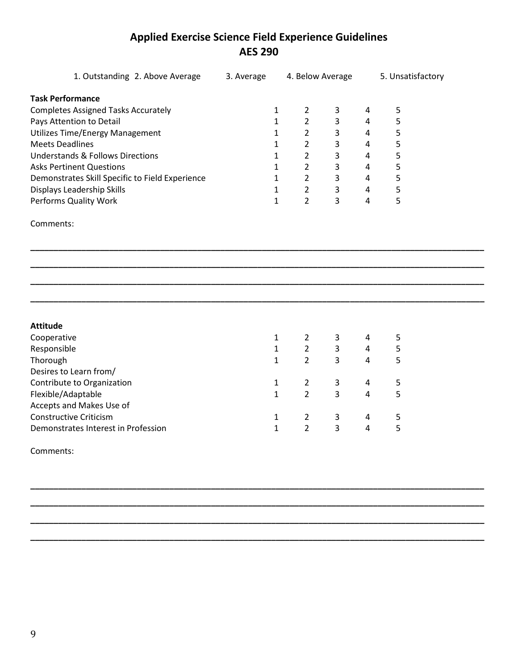| 1. Outstanding 2. Above Average                 | 3. Average |              | 4. Below Average |                   |   | 5. Unsatisfactory |
|-------------------------------------------------|------------|--------------|------------------|-------------------|---|-------------------|
| <b>Task Performance</b>                         |            |              |                  |                   |   |                   |
| <b>Completes Assigned Tasks Accurately</b>      |            | $\mathbf{1}$ | $\overline{2}$   | 3                 | 4 | 5                 |
| Pays Attention to Detail                        |            | 1            | $\overline{2}$   | 3                 | 4 | 5                 |
| <b>Utilizes Time/Energy Management</b>          |            | 1            | $\overline{2}$   | 3                 | 4 | 5                 |
| <b>Meets Deadlines</b>                          |            | 1            | $\overline{2}$   | 3                 | 4 | 5                 |
| <b>Understands &amp; Follows Directions</b>     |            | 1            | $\overline{2}$   | 3                 | 4 | 5                 |
| <b>Asks Pertinent Questions</b>                 |            | 1            | $\overline{2}$   | 3                 | 4 | 5                 |
| Demonstrates Skill Specific to Field Experience |            | $\mathbf{1}$ | $\overline{2}$   | $\mathsf{3}$<br>4 |   | 5                 |
| Displays Leadership Skills                      |            | 1            | $\overline{2}$   | 3<br>4            |   | 5                 |
| Performs Quality Work                           |            | 1            | $\overline{2}$   | 3<br>4            |   | 5                 |
| Comments:                                       |            |              |                  |                   |   |                   |
|                                                 |            |              |                  |                   |   |                   |
| <b>Attitude</b>                                 |            |              |                  |                   |   |                   |
| Cooperative                                     |            | $\mathbf{1}$ | $\overline{2}$   | 3<br>4            |   | 5                 |
| Responsible                                     |            | $\mathbf{1}$ | $\overline{2}$   | 3                 | 4 | 5                 |
| Thorough                                        |            | 1            | $\overline{2}$   | 3                 | 4 | 5                 |
| Desires to Learn from/                          |            |              |                  |                   |   |                   |
| Contribute to Organization                      |            | 1            | $\overline{2}$   | 3<br>4            |   | 5                 |
| Flexible/Adaptable                              |            | $\mathbf{1}$ | $\overline{2}$   | 3<br>4            |   | 5                 |
| Accepts and Makes Use of                        |            |              |                  |                   |   |                   |
| <b>Constructive Criticism</b>                   |            | $\mathbf{1}$ | $\overline{2}$   | 3<br>4            |   | 5                 |
| Demonstrates Interest in Profession             |            | 1            | $\overline{2}$   | 3<br>4            |   | 5                 |
| C                                               |            |              |                  |                   |   |                   |

**\_\_\_\_\_\_\_\_\_\_\_\_\_\_\_\_\_\_\_\_\_\_\_\_\_\_\_\_\_\_\_\_\_\_\_\_\_\_\_\_\_\_\_\_\_\_\_\_\_\_\_\_\_\_\_\_\_\_\_\_\_\_\_\_\_\_\_\_\_\_\_\_\_\_\_\_\_\_\_\_\_\_\_\_\_\_\_\_\_\_\_\_\_\_\_\_\_\_**

**\_\_\_\_\_\_\_\_\_\_\_\_\_\_\_\_\_\_\_\_\_\_\_\_\_\_\_\_\_\_\_\_\_\_\_\_\_\_\_\_\_\_\_\_\_\_\_\_\_\_\_\_\_\_\_\_\_\_\_\_\_\_\_\_\_\_\_\_\_\_\_\_\_\_\_\_\_\_\_\_\_\_\_\_\_\_\_\_\_\_\_\_\_\_\_\_\_\_**

**\_\_\_\_\_\_\_\_\_\_\_\_\_\_\_\_\_\_\_\_\_\_\_\_\_\_\_\_\_\_\_\_\_\_\_\_\_\_\_\_\_\_\_\_\_\_\_\_\_\_\_\_\_\_\_\_\_\_\_\_\_\_\_\_\_\_\_\_\_\_\_\_\_\_\_\_\_\_\_\_\_\_\_\_\_\_\_\_\_\_\_\_\_\_\_\_\_\_**

**\_\_\_\_\_\_\_\_\_\_\_\_\_\_\_\_\_\_\_\_\_\_\_\_\_\_\_\_\_\_\_\_\_\_\_\_\_\_\_\_\_\_\_\_\_\_\_\_\_\_\_\_\_\_\_\_\_\_\_\_\_\_\_\_\_\_\_\_\_\_\_\_\_\_\_\_\_\_\_\_\_\_\_\_\_\_\_\_\_\_\_\_\_\_\_\_\_\_**